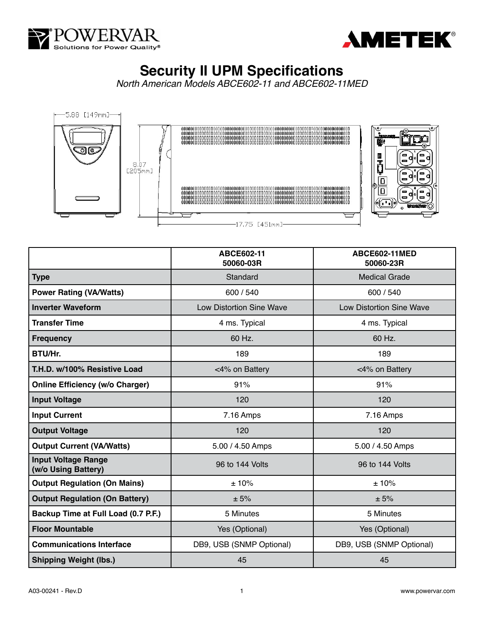



## **Security II UPM Specifications**

*North American Models ABCE602-11 and ABCE602-11MED*





|                                                   | ABCE602-11<br>50060-03R         | ABCE602-11MED<br>50060-23R      |
|---------------------------------------------------|---------------------------------|---------------------------------|
| <b>Type</b>                                       | Standard                        | <b>Medical Grade</b>            |
| <b>Power Rating (VA/Watts)</b>                    | 600 / 540                       | 600 / 540                       |
| <b>Inverter Waveform</b>                          | <b>Low Distortion Sine Wave</b> | <b>Low Distortion Sine Wave</b> |
| <b>Transfer Time</b>                              | 4 ms. Typical                   | 4 ms. Typical                   |
| <b>Frequency</b>                                  | 60 Hz.                          | 60 Hz.                          |
| BTU/Hr.                                           | 189                             | 189                             |
| T.H.D. w/100% Resistive Load                      | <4% on Battery                  | <4% on Battery                  |
| <b>Online Efficiency (w/o Charger)</b>            | 91%                             | 91%                             |
| <b>Input Voltage</b>                              | 120                             | 120                             |
| <b>Input Current</b>                              | 7.16 Amps                       | 7.16 Amps                       |
| <b>Output Voltage</b>                             | 120                             | 120                             |
| <b>Output Current (VA/Watts)</b>                  | 5.00 / 4.50 Amps                | 5.00 / 4.50 Amps                |
| <b>Input Voltage Range</b><br>(w/o Using Battery) | 96 to 144 Volts                 | 96 to 144 Volts                 |
| <b>Output Regulation (On Mains)</b>               | ±10%                            | ± 10%                           |
| <b>Output Regulation (On Battery)</b>             | ± 5%                            | ± 5%                            |
| Backup Time at Full Load (0.7 P.F.)               | 5 Minutes                       | 5 Minutes                       |
| <b>Floor Mountable</b>                            | Yes (Optional)                  | Yes (Optional)                  |
| <b>Communications Interface</b>                   | DB9, USB (SNMP Optional)        | DB9, USB (SNMP Optional)        |
| <b>Shipping Weight (lbs.)</b>                     | 45                              | 45                              |